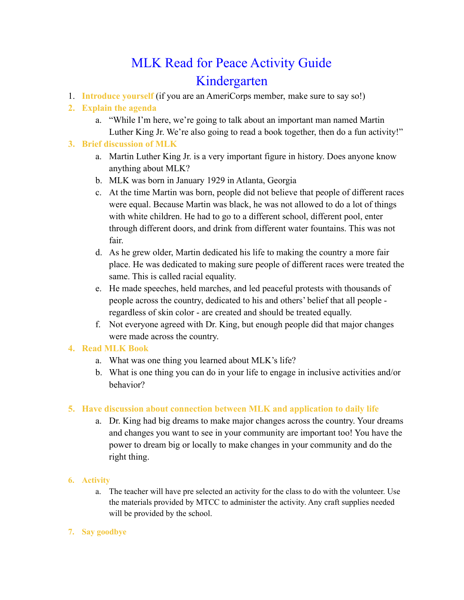# MLK Read for Peace Activity Guide Kindergarten

1. **Introduce yourself** (if you are an AmeriCorps member, make sure to say so!)

## **2. Explain the agenda**

a. "While I'm here, we're going to talk about an important man named Martin Luther King Jr. We're also going to read a book together, then do a fun activity!"

#### **3. Brief discussion of MLK**

- a. Martin Luther King Jr. is a very important figure in history. Does anyone know anything about MLK?
- b. MLK was born in January 1929 in Atlanta, Georgia
- c. At the time Martin was born, people did not believe that people of different races were equal. Because Martin was black, he was not allowed to do a lot of things with white children. He had to go to a different school, different pool, enter through different doors, and drink from different water fountains. This was not fair.
- d. As he grew older, Martin dedicated his life to making the country a more fair place. He was dedicated to making sure people of different races were treated the same. This is called racial equality.
- e. He made speeches, held marches, and led peaceful protests with thousands of people across the country, dedicated to his and others' belief that all people regardless of skin color - are created and should be treated equally.
- f. Not everyone agreed with Dr. King, but enough people did that major changes were made across the country.

### **4. Read MLK Book**

- a. What was one thing you learned about MLK's life?
- b. What is one thing you can do in your life to engage in inclusive activities and/or behavior?

### **5. Have discussion about connection between MLK and application to daily life**

a. Dr. King had big dreams to make major changes across the country. Your dreams and changes you want to see in your community are important too! You have the power to dream big or locally to make changes in your community and do the right thing.

### **6. Activity**

a. The teacher will have pre selected an activity for the class to do with the volunteer. Use the materials provided by MTCC to administer the activity. Any craft supplies needed will be provided by the school.

#### **7. Say goodbye**